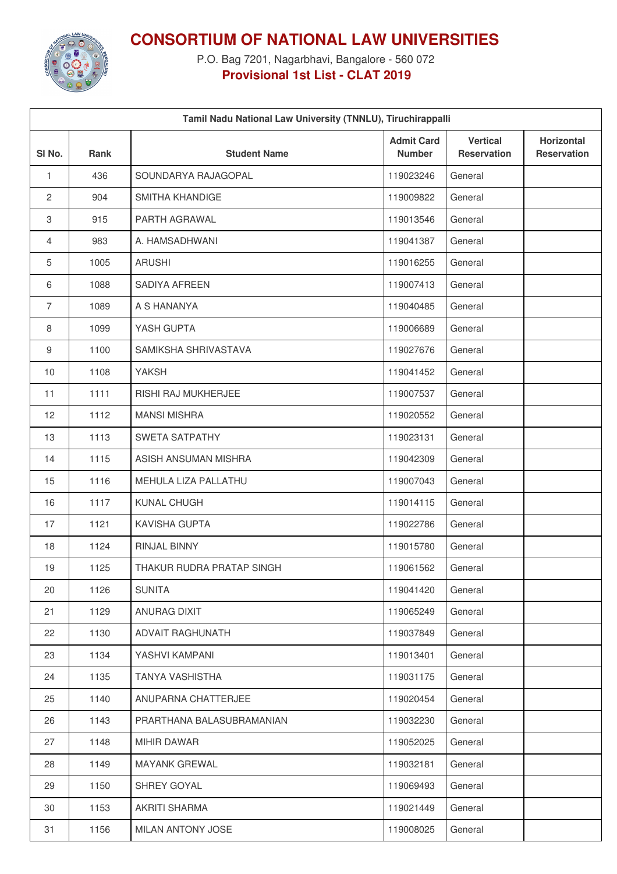

**CONSORTIUM OF NATIONAL LAW UNIVERSITIES**

P.O. Bag 7201, Nagarbhavi, Bangalore - 560 072 **Provisional 1st List - CLAT 2019**

| Tamil Nadu National Law University (TNNLU), Tiruchirappalli |      |                           |                                    |                                       |                                  |
|-------------------------------------------------------------|------|---------------------------|------------------------------------|---------------------------------------|----------------------------------|
| SI <sub>No.</sub>                                           | Rank | <b>Student Name</b>       | <b>Admit Card</b><br><b>Number</b> | <b>Vertical</b><br><b>Reservation</b> | Horizontal<br><b>Reservation</b> |
| $\mathbf{1}$                                                | 436  | SOUNDARYA RAJAGOPAL       | 119023246                          | General                               |                                  |
| $\mathbf{2}$                                                | 904  | <b>SMITHA KHANDIGE</b>    | 119009822                          | General                               |                                  |
| 3                                                           | 915  | PARTH AGRAWAL             | 119013546                          | General                               |                                  |
| 4                                                           | 983  | A. HAMSADHWANI            | 119041387                          | General                               |                                  |
| 5                                                           | 1005 | <b>ARUSHI</b>             | 119016255                          | General                               |                                  |
| 6                                                           | 1088 | SADIYA AFREEN             | 119007413                          | General                               |                                  |
| $\overline{7}$                                              | 1089 | A S HANANYA               | 119040485                          | General                               |                                  |
| 8                                                           | 1099 | YASH GUPTA                | 119006689                          | General                               |                                  |
| $\boldsymbol{9}$                                            | 1100 | SAMIKSHA SHRIVASTAVA      | 119027676                          | General                               |                                  |
| 10                                                          | 1108 | YAKSH                     | 119041452                          | General                               |                                  |
| 11                                                          | 1111 | RISHI RAJ MUKHERJEE       | 119007537                          | General                               |                                  |
| 12                                                          | 1112 | <b>MANSI MISHRA</b>       | 119020552                          | General                               |                                  |
| 13                                                          | 1113 | <b>SWETA SATPATHY</b>     | 119023131                          | General                               |                                  |
| 14                                                          | 1115 | ASISH ANSUMAN MISHRA      | 119042309                          | General                               |                                  |
| 15                                                          | 1116 | MEHULA LIZA PALLATHU      | 119007043                          | General                               |                                  |
| 16                                                          | 1117 | KUNAL CHUGH               | 119014115                          | General                               |                                  |
| 17                                                          | 1121 | KAVISHA GUPTA             | 119022786                          | General                               |                                  |
| 18                                                          | 1124 | RINJAL BINNY              | 119015780                          | General                               |                                  |
| 19                                                          | 1125 | THAKUR RUDRA PRATAP SINGH | 119061562                          | General                               |                                  |
| 20                                                          | 1126 | <b>SUNITA</b>             | 119041420                          | General                               |                                  |
| 21                                                          | 1129 | ANURAG DIXIT              | 119065249                          | General                               |                                  |
| 22                                                          | 1130 | <b>ADVAIT RAGHUNATH</b>   | 119037849                          | General                               |                                  |
| 23                                                          | 1134 | YASHVI KAMPANI            | 119013401                          | General                               |                                  |
| 24                                                          | 1135 | <b>TANYA VASHISTHA</b>    | 119031175                          | General                               |                                  |
| 25                                                          | 1140 | ANUPARNA CHATTERJEE       | 119020454                          | General                               |                                  |
| 26                                                          | 1143 | PRARTHANA BALASUBRAMANIAN | 119032230                          | General                               |                                  |
| 27                                                          | 1148 | MIHIR DAWAR               | 119052025                          | General                               |                                  |
| 28                                                          | 1149 | <b>MAYANK GREWAL</b>      | 119032181                          | General                               |                                  |
| 29                                                          | 1150 | SHREY GOYAL               | 119069493                          | General                               |                                  |
| 30                                                          | 1153 | <b>AKRITI SHARMA</b>      | 119021449                          | General                               |                                  |
| 31                                                          | 1156 | MILAN ANTONY JOSE         | 119008025                          | General                               |                                  |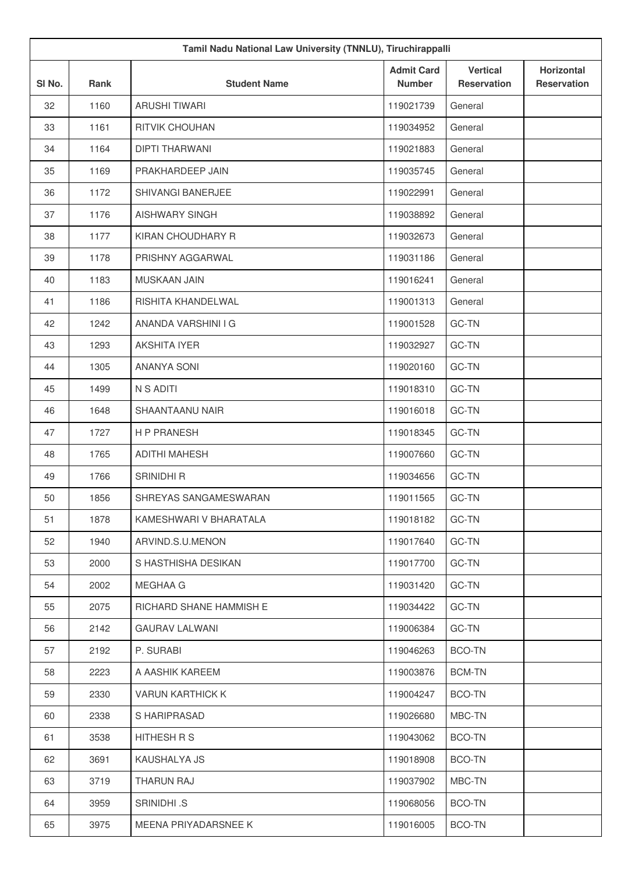| Tamil Nadu National Law University (TNNLU), Tiruchirappalli |      |                         |                                    |                                       |                                         |  |
|-------------------------------------------------------------|------|-------------------------|------------------------------------|---------------------------------------|-----------------------------------------|--|
| SI No.                                                      | Rank | <b>Student Name</b>     | <b>Admit Card</b><br><b>Number</b> | <b>Vertical</b><br><b>Reservation</b> | <b>Horizontal</b><br><b>Reservation</b> |  |
| 32                                                          | 1160 | <b>ARUSHI TIWARI</b>    | 119021739                          | General                               |                                         |  |
| 33                                                          | 1161 | <b>RITVIK CHOUHAN</b>   | 119034952                          | General                               |                                         |  |
| 34                                                          | 1164 | <b>DIPTI THARWANI</b>   | 119021883                          | General                               |                                         |  |
| 35                                                          | 1169 | PRAKHARDEEP JAIN        | 119035745                          | General                               |                                         |  |
| 36                                                          | 1172 | SHIVANGI BANERJEE       | 119022991                          | General                               |                                         |  |
| 37                                                          | 1176 | AISHWARY SINGH          | 119038892                          | General                               |                                         |  |
| 38                                                          | 1177 | KIRAN CHOUDHARY R       | 119032673                          | General                               |                                         |  |
| 39                                                          | 1178 | PRISHNY AGGARWAL        | 119031186                          | General                               |                                         |  |
| 40                                                          | 1183 | <b>MUSKAAN JAIN</b>     | 119016241                          | General                               |                                         |  |
| 41                                                          | 1186 | RISHITA KHANDELWAL      | 119001313                          | General                               |                                         |  |
| 42                                                          | 1242 | ANANDA VARSHINI I G     | 119001528                          | GC-TN                                 |                                         |  |
| 43                                                          | 1293 | <b>AKSHITA IYER</b>     | 119032927                          | GC-TN                                 |                                         |  |
| 44                                                          | 1305 | <b>ANANYA SONI</b>      | 119020160                          | GC-TN                                 |                                         |  |
| 45                                                          | 1499 | N S ADITI               | 119018310                          | GC-TN                                 |                                         |  |
| 46                                                          | 1648 | SHAANTAANU NAIR         | 119016018                          | GC-TN                                 |                                         |  |
| 47                                                          | 1727 | <b>HP PRANESH</b>       | 119018345                          | GC-TN                                 |                                         |  |
| 48                                                          | 1765 | <b>ADITHI MAHESH</b>    | 119007660                          | GC-TN                                 |                                         |  |
| 49                                                          | 1766 | SRINIDHI R              | 119034656                          | GC-TN                                 |                                         |  |
| 50                                                          | 1856 | SHREYAS SANGAMESWARAN   | 119011565                          | GC-TN                                 |                                         |  |
| 51                                                          | 1878 | KAMESHWARI V BHARATALA  | 119018182                          | GC-TN                                 |                                         |  |
| 52                                                          | 1940 | ARVIND.S.U.MENON        | 119017640                          | GC-TN                                 |                                         |  |
| 53                                                          | 2000 | S HASTHISHA DESIKAN     | 119017700                          | GC-TN                                 |                                         |  |
| 54                                                          | 2002 | MEGHAA G                | 119031420                          | GC-TN                                 |                                         |  |
| 55                                                          | 2075 | RICHARD SHANE HAMMISH E | 119034422                          | GC-TN                                 |                                         |  |
| 56                                                          | 2142 | <b>GAURAV LALWANI</b>   | 119006384                          | GC-TN                                 |                                         |  |
| 57                                                          | 2192 | P. SURABI               | 119046263                          | BCO-TN                                |                                         |  |
| 58                                                          | 2223 | A AASHIK KAREEM         | 119003876                          | <b>BCM-TN</b>                         |                                         |  |
| 59                                                          | 2330 | <b>VARUN KARTHICK K</b> | 119004247                          | BCO-TN                                |                                         |  |
| 60                                                          | 2338 | S HARIPRASAD            | 119026680                          | MBC-TN                                |                                         |  |
| 61                                                          | 3538 | HITHESH R S             | 119043062                          | BCO-TN                                |                                         |  |
| 62                                                          | 3691 | KAUSHALYA JS            | 119018908                          | BCO-TN                                |                                         |  |
| 63                                                          | 3719 | THARUN RAJ              | 119037902                          | MBC-TN                                |                                         |  |
| 64                                                          | 3959 | SRINIDHI .S             | 119068056                          | BCO-TN                                |                                         |  |
| 65                                                          | 3975 | MEENA PRIYADARSNEE K    | 119016005                          | <b>BCO-TN</b>                         |                                         |  |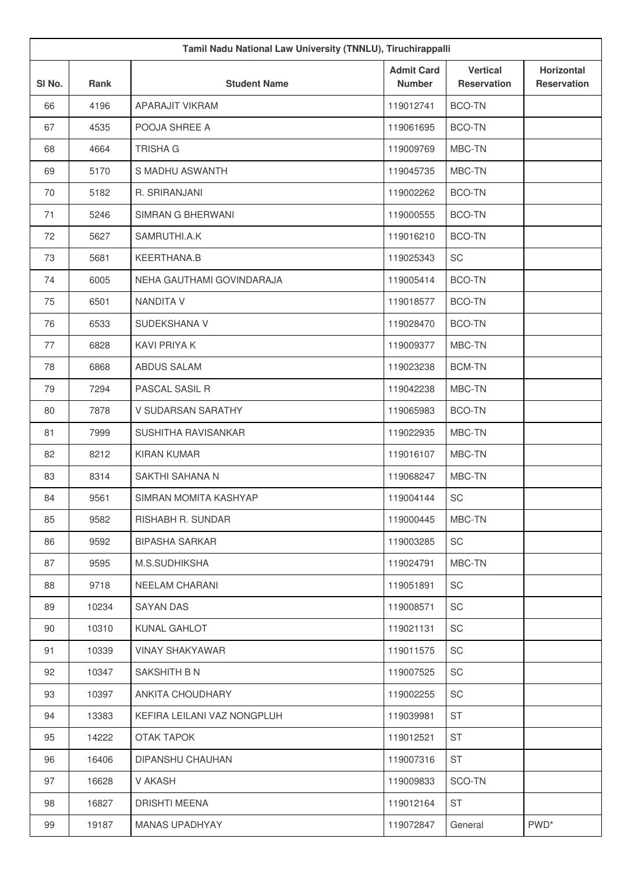| Tamil Nadu National Law University (TNNLU), Tiruchirappalli |       |                             |                                    |                                       |                                  |
|-------------------------------------------------------------|-------|-----------------------------|------------------------------------|---------------------------------------|----------------------------------|
| SI No.                                                      | Rank  | <b>Student Name</b>         | <b>Admit Card</b><br><b>Number</b> | <b>Vertical</b><br><b>Reservation</b> | Horizontal<br><b>Reservation</b> |
| 66                                                          | 4196  | APARAJIT VIKRAM             | 119012741                          | <b>BCO-TN</b>                         |                                  |
| 67                                                          | 4535  | POOJA SHREE A               | 119061695                          | <b>BCO-TN</b>                         |                                  |
| 68                                                          | 4664  | <b>TRISHA G</b>             | 119009769                          | MBC-TN                                |                                  |
| 69                                                          | 5170  | S MADHU ASWANTH             | 119045735                          | MBC-TN                                |                                  |
| 70                                                          | 5182  | R. SRIRANJANI               | 119002262                          | <b>BCO-TN</b>                         |                                  |
| 71                                                          | 5246  | SIMRAN G BHERWANI           | 119000555                          | <b>BCO-TN</b>                         |                                  |
| 72                                                          | 5627  | SAMRUTHI.A.K                | 119016210                          | <b>BCO-TN</b>                         |                                  |
| 73                                                          | 5681  | KEERTHANA.B                 | 119025343                          | SC                                    |                                  |
| 74                                                          | 6005  | NEHA GAUTHAMI GOVINDARAJA   | 119005414                          | <b>BCO-TN</b>                         |                                  |
| 75                                                          | 6501  | <b>NANDITA V</b>            | 119018577                          | <b>BCO-TN</b>                         |                                  |
| 76                                                          | 6533  | SUDEKSHANA V                | 119028470                          | <b>BCO-TN</b>                         |                                  |
| 77                                                          | 6828  | <b>KAVI PRIYA K</b>         | 119009377                          | MBC-TN                                |                                  |
| 78                                                          | 6868  | ABDUS SALAM                 | 119023238                          | <b>BCM-TN</b>                         |                                  |
| 79                                                          | 7294  | PASCAL SASIL R              | 119042238                          | MBC-TN                                |                                  |
| 80                                                          | 7878  | V SUDARSAN SARATHY          | 119065983                          | <b>BCO-TN</b>                         |                                  |
| 81                                                          | 7999  | SUSHITHA RAVISANKAR         | 119022935                          | MBC-TN                                |                                  |
| 82                                                          | 8212  | <b>KIRAN KUMAR</b>          | 119016107                          | MBC-TN                                |                                  |
| 83                                                          | 8314  | SAKTHI SAHANA N             | 119068247                          | MBC-TN                                |                                  |
| 84                                                          | 9561  | SIMRAN MOMITA KASHYAP       | 119004144                          | SC                                    |                                  |
| 85                                                          | 9582  | RISHABH R. SUNDAR           | 119000445                          | MBC-TN                                |                                  |
| 86                                                          | 9592  | <b>BIPASHA SARKAR</b>       | 119003285                          | SC                                    |                                  |
| 87                                                          | 9595  | M.S.SUDHIKSHA               | 119024791                          | MBC-TN                                |                                  |
| 88                                                          | 9718  | NEELAM CHARANI              | 119051891                          | SC                                    |                                  |
| 89                                                          | 10234 | <b>SAYAN DAS</b>            | 119008571                          | SC                                    |                                  |
| 90                                                          | 10310 | KUNAL GAHLOT                | 119021131                          | SC                                    |                                  |
| 91                                                          | 10339 | <b>VINAY SHAKYAWAR</b>      | 119011575                          | SC                                    |                                  |
| 92                                                          | 10347 | SAKSHITH B N                | 119007525                          | SC                                    |                                  |
| 93                                                          | 10397 | ANKITA CHOUDHARY            | 119002255                          | SC                                    |                                  |
| 94                                                          | 13383 | KEFIRA LEILANI VAZ NONGPLUH | 119039981                          | <b>ST</b>                             |                                  |
| 95                                                          | 14222 | <b>OTAK TAPOK</b>           | 119012521                          | <b>ST</b>                             |                                  |
| 96                                                          | 16406 | DIPANSHU CHAUHAN            | 119007316                          | ST                                    |                                  |
| 97                                                          | 16628 | V AKASH                     | 119009833                          | SCO-TN                                |                                  |
| 98                                                          | 16827 | <b>DRISHTI MEENA</b>        | 119012164                          | ST                                    |                                  |
| 99                                                          | 19187 | <b>MANAS UPADHYAY</b>       | 119072847                          | General                               | PWD <sup>*</sup>                 |